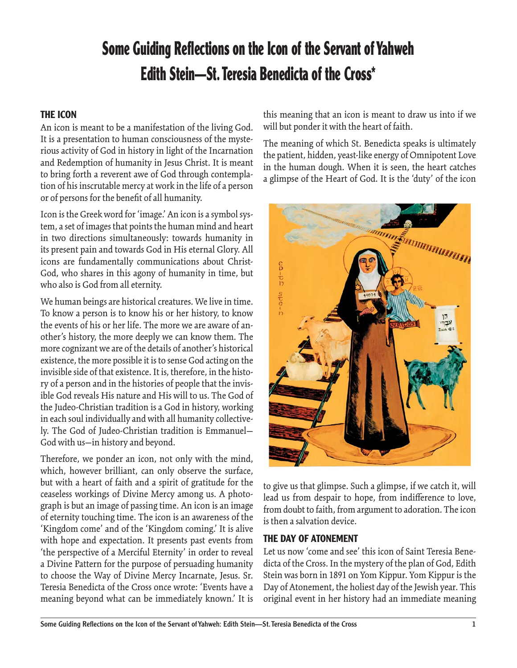# **Some Guiding Reflections on the Icon of the Servant of Yahweh Edith Stein—St. Teresia Benedicta of the Cross\***

#### **THE ICON**

An icon is meant to be a manifestation of the living God. It is a presentation to human consciousness of the mysterious activity of God in history in light of the Incarnation and Redemption of humanity in Jesus Christ. It is meant to bring forth a reverent awe of God through contemplation of his inscrutable mercy at work in the life of a person or of persons for the benefit of all humanity.

Icon is the Greek word for 'image.' An icon is a symbol system, a set of images that points the human mind and heart in two directions simultaneously: towards humanity in its present pain and towards God in His eternal Glory. All icons are fundamentally communications about Christ-God, who shares in this agony of humanity in time, but who also is God from all eternity.

We human beings are historical creatures. We live in time. To know a person is to know his or her history, to know the events of his or her life. The more we are aware of another's history, the more deeply we can know them. The more cognizant we are of the details of another's historical existence, the more possible it is to sense God acting on the invisible side of that existence. It is, therefore, in the history of a person and in the histories of people that the invisible God reveals His nature and His will to us. The God of the Judeo-Christian tradition is a God in history, working in each soul individually and with all humanity collectively. The God of Judeo-Christian tradition is Emmanuel— God with us—in history and beyond.

Therefore, we ponder an icon, not only with the mind, which, however brilliant, can only observe the surface, but with a heart of faith and a spirit of gratitude for the ceaseless workings of Divine Mercy among us. A photograph is but an image of passing time. An icon is an image of eternity touching time. The icon is an awareness of the 'Kingdom come' and of the 'Kingdom coming.' It is alive with hope and expectation. It presents past events from 'the perspective of a Merciful Eternity' in order to reveal a Divine Pattern for the purpose of persuading humanity to choose the Way of Divine Mercy Incarnate, Jesus. Sr. Teresia Benedicta of the Cross once wrote: 'Events have a meaning beyond what can be immediately known.' It is

this meaning that an icon is meant to draw us into if we will but ponder it with the heart of faith.

The meaning of which St. Benedicta speaks is ultimately the patient, hidden, yeast-like energy of Omnipotent Love in the human dough. When it is seen, the heart catches a glimpse of the Heart of God. It is the 'duty' of the icon



to give us that glimpse. Such a glimpse, if we catch it, will lead us from despair to hope, from indifference to love, from doubt to faith, from argument to adoration. The icon is then a salvation device.

#### **THE DAY OF ATONEMENT**

Let us now 'come and see' this icon of Saint Teresia Benedicta of the Cross. In the mystery of the plan of God, Edith Stein was born in 1891 on Yom Kippur. Yom Kippur is the Day of Atonement, the holiest day of the Jewish year. This original event in her history had an immediate meaning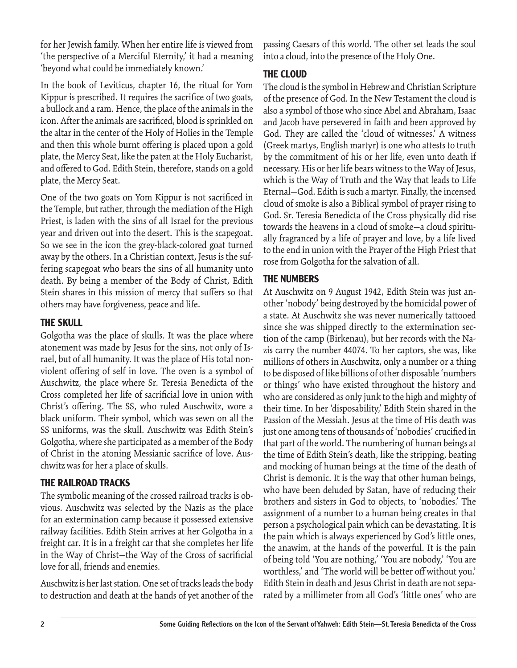for her Jewish family. When her entire life is viewed from 'the perspective of a Merciful Eternity,' it had a meaning 'beyond what could be immediately known.'

In the book of Leviticus, chapter 16, the ritual for Yom Kippur is prescribed. It requires the sacrifice of two goats, a bullock and a ram. Hence, the place of the animals in the icon. After the animals are sacrificed, blood is sprinkled on the altar in the center of the Holy of Holies in the Temple and then this whole burnt offering is placed upon a gold plate, the Mercy Seat, like the paten at the Holy Eucharist, and offered to God. Edith Stein, therefore, stands on a gold plate, the Mercy Seat.

One of the two goats on Yom Kippur is not sacrificed in the Temple, but rather, through the mediation of the High Priest, is laden with the sins of all Israel for the previous year and driven out into the desert. This is the scapegoat. So we see in the icon the grey-black-colored goat turned away by the others. In a Christian context, Jesus is the suffering scapegoat who bears the sins of all humanity unto death. By being a member of the Body of Christ, Edith Stein shares in this mission of mercy that suffers so that others may have forgiveness, peace and life.

#### **THE SKULL**

Golgotha was the place of skulls. It was the place where atonement was made by Jesus for the sins, not only of Israel, but of all humanity. It was the place of His total nonviolent offering of self in love. The oven is a symbol of Auschwitz, the place where Sr. Teresia Benedicta of the Cross completed her life of sacrificial love in union with Christ's offering. The SS, who ruled Auschwitz, wore a black uniform. Their symbol, which was sewn on all the SS uniforms, was the skull. Auschwitz was Edith Stein's Golgotha, where she participated as a member of the Body of Christ in the atoning Messianic sacrifice of love. Auschwitz was for her a place of skulls.

### **THE RAILROAD TRACKS**

The symbolic meaning of the crossed railroad tracks is obvious. Auschwitz was selected by the Nazis as the place for an extermination camp because it possessed extensive railway facilities. Edith Stein arrives at her Golgotha in a freight car. It is in a freight car that she completes her life in the Way of Christ-the Way of the Cross of sacrificial love for all, friends and enemies.

Auschwitz is her last station. One set of tracks leads the body to destruction and death at the hands of yet another of the

passing Caesars of this world. The other set leads the soul into a cloud, into the presence of the Holy One.

### **THE CLOUD**

The cloud is the symbol in Hebrew and Christian Scripture of the presence of God. In the New Testament the cloud is also a symbol of those who since Abel and Abraham, Isaac and Jacob have persevered in faith and been approved by God. They are called the 'cloud of witnesses.' A witness (Greek martys, English martyr) is one who attests to truth by the commitment of his or her life, even unto death if necessary. His or her life bears witness to the Way of Jesus, which is the Way of Truth and the Way that leads to Life Eternal—God. Edith is such a martyr. Finally, the incensed cloud of smoke is also a Biblical symbol of prayer rising to God. Sr. Teresia Benedicta of the Cross physically did rise towards the heavens in a cloud of smoke—a cloud spiritually fragranced by a life of prayer and love, by a life lived to the end in union with the Prayer of the High Priest that rose from Golgotha for the salvation of all.

## **THE NUMBERS**

At Auschwitz on 9 August 1942, Edith Stein was just another 'nobody' being destroyed by the homicidal power of a state. At Auschwitz she was never numerically tattooed since she was shipped directly to the extermination section of the camp (Birkenau), but her records with the Nazis carry the number 44074. To her captors, she was, like millions of others in Auschwitz, only a number or a thing to be disposed of like billions of other disposable 'numbers or things' who have existed throughout the history and who are considered as only junk to the high and mighty of their time. In her 'disposability,' Edith Stein shared in the Passion of the Messiah. Jesus at the time of His death was just one among tens of thousands of 'nobodies' crucified in that part of the world. The numbering of human beings at the time of Edith Stein's death, like the stripping, beating and mocking of human beings at the time of the death of Christ is demonic. It is the way that other human beings, who have been deluded by Satan, have of reducing their brothers and sisters in God to objects, to 'nobodies.' The assignment of a number to a human being creates in that person a psychological pain which can be devastating. It is the pain which is always experienced by God's little ones, the anawim, at the hands of the powerful. It is the pain of being told 'You are nothing,' 'You are nobody,' 'You are worthless,' and 'The world will be better off without you.' Edith Stein in death and Jesus Christ in death are not separated by a millimeter from all God's 'little ones' who are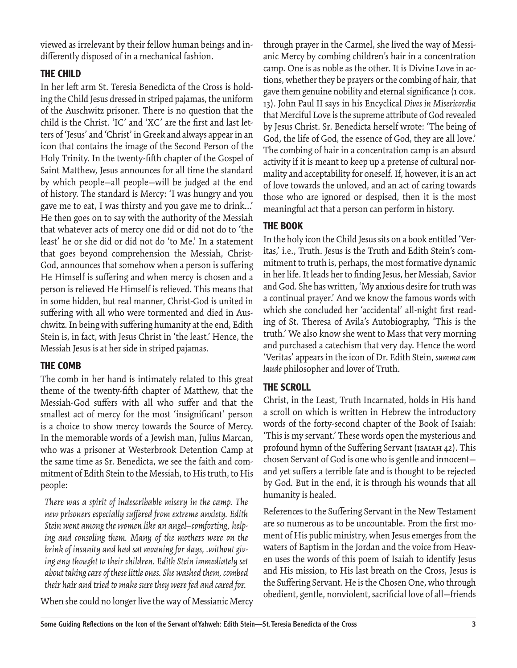viewed as irrelevant by their fellow human beings and indifferently disposed of in a mechanical fashion.

### **THE CHILD**

In her left arm St. Teresia Benedicta of the Cross is holding the Child Jesus dressed in striped pajamas, the uniform of the Auschwitz prisoner. There is no question that the child is the Christ. 'IC' and 'XC' are the first and last letters of 'Jesus' and 'Christ' in Greek and always appear in an icon that contains the image of the Second Person of the Holy Trinity. In the twenty-fifth chapter of the Gospel of Saint Matthew, Jesus announces for all time the standard by which people—all people—will be judged at the end of history. The standard is Mercy: 'I was hungry and you gave me to eat, I was thirsty and you gave me to drink...' He then goes on to say with the authority of the Messiah that whatever acts of mercy one did or did not do to 'the least' he or she did or did not do 'to Me.' In a statement that goes beyond comprehension the Messiah, Christ-God, announces that somehow when a person is suffering He Himself is suffering and when mercy is chosen and a person is relieved He Himself is relieved. This means that in some hidden, but real manner, Christ-God is united in suffering with all who were tormented and died in Auschwitz. In being with suffering humanity at the end, Edith Stein is, in fact, with Jesus Christ in 'the least.' Hence, the Messiah Jesus is at her side in striped pajamas.

### **THE COMB**

The comb in her hand is intimately related to this great theme of the twenty-fifth chapter of Matthew, that the Messiah-God suffers with all who suffer and that the smallest act of mercy for the most 'insignificant' person is a choice to show mercy towards the Source of Mercy. In the memorable words of a Jewish man, Julius Marcan, who was a prisoner at Westerbrook Detention Camp at the same time as Sr. Benedicta, we see the faith and commitment of Edith Stein to the Messiah, to His truth, to His people:

*There was a spirit of indescribable misery in the camp. The new prisoners especially suff ered from extreme anxiety. Edith Stein went among the women like an angel—comforting, helping and consoling them. Many of the mothers were on the brink of insanity and had sat moaning for days, .without giving any thought to their children. Edith Stein immediately set about taking care of these little ones. She washed them, combed their hair and tried to make sure they were fed and cared for.*

When she could no longer live the way of Messianic Mercy

through prayer in the Carmel, she lived the way of Messianic Mercy by combing children's hair in a concentration camp. One is as noble as the other. It is Divine Love in actions, whether they be prayers or the combing of hair, that gave them genuine nobility and eternal significance (1 COR. 13). John Paul II says in his Encyclical *Dives in Misericordia* that Merciful Love is the supreme attribute of God revealed by Jesus Christ. Sr. Benedicta herself wrote: 'The being of God, the life of God, the essence of God, they are all love.' The combing of hair in a concentration camp is an absurd activity if it is meant to keep up a pretense of cultural normality and acceptability for oneself. If, however, it is an act of love towards the unloved, and an act of caring towards those who are ignored or despised, then it is the most meaningful act that a person can perform in history.

## **THE BOOK**

In the holy icon the Child Jesus sits on a book entitled 'Veritas,' i.e., Truth. Jesus is the Truth and Edith Stein's commitment to truth is, perhaps, the most formative dynamic in her life. It leads her to finding Jesus, her Messiah, Savior and God. She has written, 'My anxious desire for truth was a continual prayer.' And we know the famous words with which she concluded her 'accidental' all-night first reading of St. Theresa of Avila's Autobiography, 'This is the truth.' We also know she went to Mass that very morning and purchased a catechism that very day. Hence the word 'Veritas' appears in the icon of Dr. Edith Stein, *summa cum laude* philosopher and lover of Truth.

### **THE SCROLL**

Christ, in the Least, Truth Incarnated, holds in His hand a scroll on which is written in Hebrew the introductory words of the forty-second chapter of the Book of Isaiah: 'This is my servant.' These words open the mysterious and profound hymn of the Suffering Servant (ISAIAH 42). This chosen Servant of God is one who is gentle and innocent and yet suffers a terrible fate and is thought to be rejected by God. But in the end, it is through his wounds that all humanity is healed.

References to the Suffering Servant in the New Testament are so numerous as to be uncountable. From the first moment of His public ministry, when Jesus emerges from the waters of Baptism in the Jordan and the voice from Heaven uses the words of this poem of Isaiah to identify Jesus and His mission, to His last breath on the Cross, Jesus is the Suffering Servant. He is the Chosen One, who through obedient, gentle, nonviolent, sacrificial love of all-friends